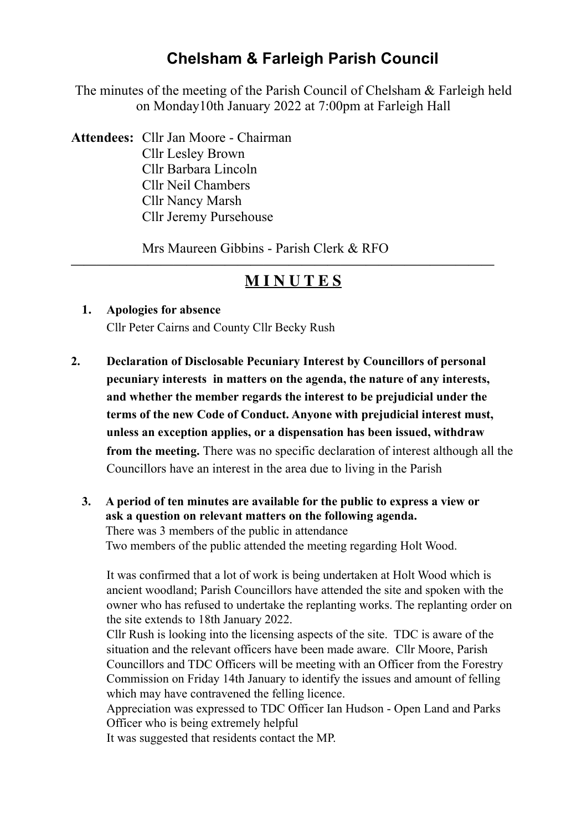# **Chelsham & Farleigh Parish Council**

The minutes of the meeting of the Parish Council of Chelsham & Farleigh held on Monday10th January 2022 at 7:00pm at Farleigh Hall

**Attendees:** Cllr Jan Moore - Chairman Cllr Lesley Brown Cllr Barbara Lincoln Cllr Neil Chambers Cllr Nancy Marsh Cllr Jeremy Pursehouse

Mrs Maureen Gibbins - Parish Clerk & RFO

# **M I N U T E S**

**—————————————————————————————————**

- **1. Apologies for absence**  Cllr Peter Cairns and County Cllr Becky Rush
- **2. Declaration of Disclosable Pecuniary Interest by Councillors of personal pecuniary interests in matters on the agenda, the nature of any interests, and whether the member regards the interest to be prejudicial under the terms of the new Code of Conduct. Anyone with prejudicial interest must, unless an exception applies, or a dispensation has been issued, withdraw from the meeting.** There was no specific declaration of interest although all the Councillors have an interest in the area due to living in the Parish
	- **3. A period of ten minutes are available for the public to express a view or ask a question on relevant matters on the following agenda.**  There was 3 members of the public in attendance Two members of the public attended the meeting regarding Holt Wood.

 It was confirmed that a lot of work is being undertaken at Holt Wood which is ancient woodland; Parish Councillors have attended the site and spoken with the owner who has refused to undertake the replanting works. The replanting order on the site extends to 18th January 2022.

 Cllr Rush is looking into the licensing aspects of the site. TDC is aware of the situation and the relevant officers have been made aware. Cllr Moore, Parish Councillors and TDC Officers will be meeting with an Officer from the Forestry Commission on Friday 14th January to identify the issues and amount of felling which may have contravened the felling licence.

 Appreciation was expressed to TDC Officer Ian Hudson - Open Land and Parks Officer who is being extremely helpful

It was suggested that residents contact the MP.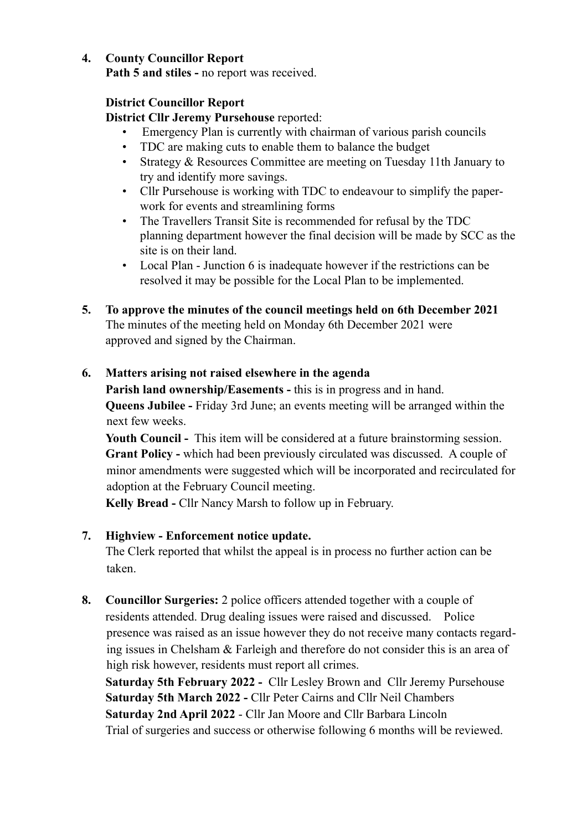### **4. County Councillor Report**

**Path 5 and stiles - no report was received.** 

### **District Councillor Report**

 **District Cllr Jeremy Pursehouse** reported:

- Emergency Plan is currently with chairman of various parish councils
- TDC are making cuts to enable them to balance the budget
- Strategy & Resources Committee are meeting on Tuesday 11th January to try and identify more savings.
- Cllr Pursehouse is working with TDC to endeavour to simplify the paperwork for events and streamlining forms
- The Travellers Transit Site is recommended for refusal by the TDC planning department however the final decision will be made by SCC as the site is on their land.
- Local Plan Junction 6 is inadequate however if the restrictions can be resolved it may be possible for the Local Plan to be implemented.
- **5. To approve the minutes of the council meetings held on 6th December 2021**  The minutes of the meeting held on Monday 6th December 2021 were approved and signed by the Chairman.

### **6. Matters arising not raised elsewhere in the agenda**

 **Parish land ownership/Easements -** this is in progress and in hand.  **Queens Jubilee -** Friday 3rd June; an events meeting will be arranged within the next few weeks.

 **Youth Council -** This item will be considered at a future brainstorming session.  **Grant Policy -** which had been previously circulated was discussed. A couple of minor amendments were suggested which will be incorporated and recirculated for adoption at the February Council meeting.

 **Kelly Bread -** Cllr Nancy Marsh to follow up in February.

### **7. Highview - Enforcement notice update.**

The Clerk reported that whilst the appeal is in process no further action can be taken.

**8. Councillor Surgeries:** 2 police officers attended together with a couple of residents attended. Drug dealing issues were raised and discussed. Police presence was raised as an issue however they do not receive many contacts regarding issues in Chelsham & Farleigh and therefore do not consider this is an area of high risk however, residents must report all crimes.

 **Saturday 5th February 2022 -** Cllr Lesley Brown and Cllr Jeremy Pursehouse  **Saturday 5th March 2022 -** Cllr Peter Cairns and Cllr Neil Chambers  **Saturday 2nd April 2022** - Cllr Jan Moore and Cllr Barbara Lincoln Trial of surgeries and success or otherwise following 6 months will be reviewed.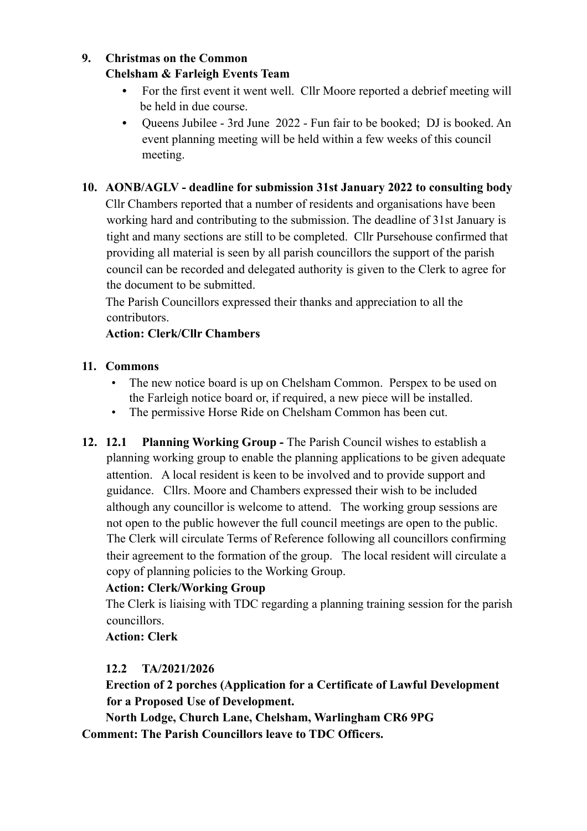### **9. Christmas on the Common Chelsham & Farleigh Events Team**

## **•** For the first event it went well.Cllr Moore reported a debrief meeting will be held in due course.

**•** Queens Jubilee - 3rd June 2022 - Fun fair to be booked; DJ is booked. An event planning meeting will be held within a few weeks of this council meeting.

# **10. AONB/AGLV - deadline for submission 31st January 2022 to consulting body**

Cllr Chambers reported that a number of residents and organisations have been working hard and contributing to the submission. The deadline of 31st January is tight and many sections are still to be completed. Cllr Pursehouse confirmed that providing all material is seen by all parish councillors the support of the parish council can be recorded and delegated authority is given to the Clerk to agree for the document to be submitted.

 The Parish Councillors expressed their thanks and appreciation to all the contributors.

## **Action: Clerk/Cllr Chambers**

### **11. Commons**

- The new notice board is up on Chelsham Common. Perspex to be used on the Farleigh notice board or, if required, a new piece will be installed.
- The permissive Horse Ride on Chelsham Common has been cut.
- **12. 12.1 Planning Working Group The Parish Council wishes to establish a** planning working group to enable the planning applications to be given adequate attention. A local resident is keen to be involved and to provide support and guidance. Cllrs. Moore and Chambers expressed their wish to be included although any councillor is welcome to attend. The working group sessions are not open to the public however the full council meetings are open to the public. The Clerk will circulate Terms of Reference following all councillors confirming their agreement to the formation of the group. The local resident will circulate a copy of planning policies to the Working Group.

# **Action: Clerk/Working Group**

The Clerk is liaising with TDC regarding a planning training session for the parish councillors.

**Action: Clerk** 

# **12.2 TA/2021/2026**

 **Erection of 2 porches (Application for a Certificate of Lawful Development for a Proposed Use of Development.** 

 **North Lodge, Church Lane, Chelsham, Warlingham CR6 9PG Comment: The Parish Councillors leave to TDC Officers.**